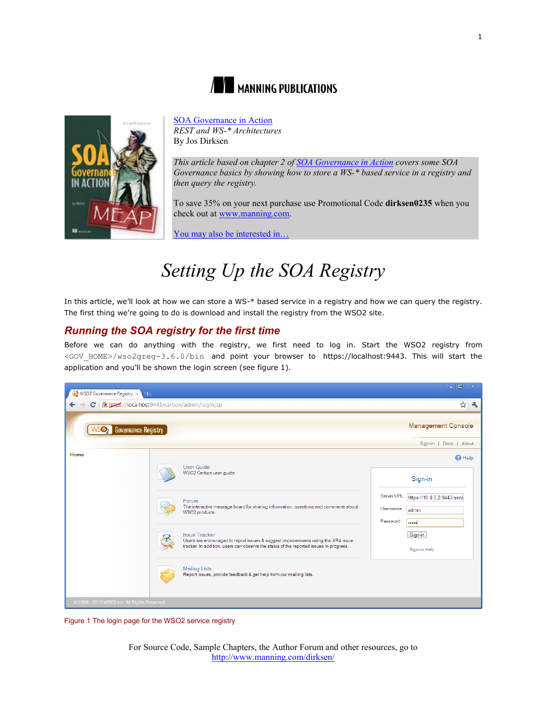



[SOA Governance in Action](http://www.manning.com/dirksen/) *REST and WS-\* Architectures* By Jos Dirksen

*This article based on chapter 2 of [SOA Governance in Action](http://www.manning.com/dirksen/) covers some SOA Governance basics by showing how to store a WS-\* based service in a registry and then query the registry.* 

To save 35% on your next purchase use Promotional Code **dirksen0235** when you check out at [www.manning.com.](file://localhost/Users/blaisebace/Downloads/../../Library/Mail%20Downloads/www.manning.com)

[You may also be interested in…](#page-4-0)

# *Setting Up the SOA Registry*

In this article, we'll look at how we can store a WS-\* based service in a registry and how we can query the registry. The first thing we're going to do is download and install the registry from the WSO2 site.

## *Running the SOA registry for the first time*

Before we can do anything with the registry, we first need to log in. Start the WSO2 registry from <GOV HOME>/wso2greg-3.6.0/bin and point your browser to https://localhost:9443. This will start the application and you'll be shown the login screen (see figure 1).



Figure 1 The login page for the WSO2 service registry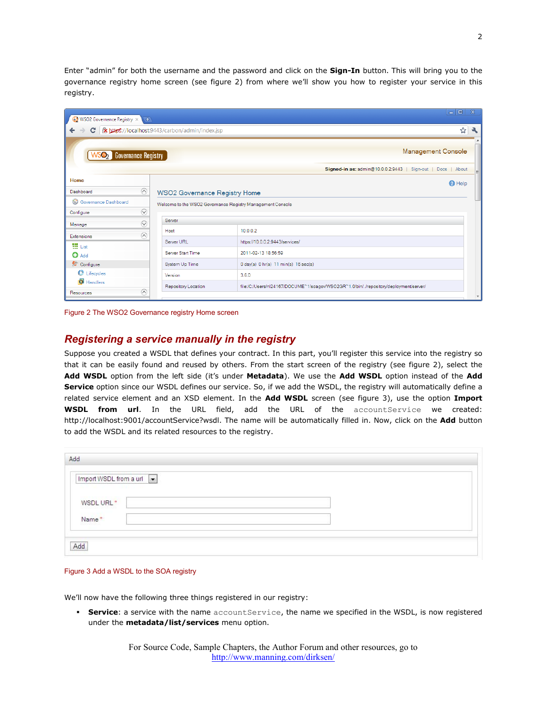Enter "admin" for both the username and the password and click on the **Sign-In** button. This will bring you to the governance registry home screen (see figure 2) from where we'll show you how to register your service in this registry.

| $\leftarrow$ $\rightarrow$<br><b>WSO2</b> Governance Registry<br>Home<br>$\odot$<br>Dashboard | C   x https://localhost:9443/carbon/admin/index.jsp        | ☆<br><b>Management Console</b><br>Signed-in as: admin@10.0.0.2:9443   Sign-out   Docs   About |
|-----------------------------------------------------------------------------------------------|------------------------------------------------------------|-----------------------------------------------------------------------------------------------|
|                                                                                               |                                                            |                                                                                               |
|                                                                                               |                                                            |                                                                                               |
|                                                                                               |                                                            |                                                                                               |
|                                                                                               |                                                            | <b>O</b> Help                                                                                 |
|                                                                                               | <b>WSO2 Governance Registry Home</b>                       |                                                                                               |
| Governance Dashboard                                                                          | Welcome to the WSO2 Governance Registry Management Console |                                                                                               |
| $\odot$<br>Configure                                                                          |                                                            |                                                                                               |
| $\odot$<br>Manage                                                                             | Server                                                     |                                                                                               |
| $\odot$<br>Extensions                                                                         | Host                                                       | 10.0.0.2                                                                                      |
| 提 List                                                                                        | Server URL                                                 | https://10.0.0.2:9443/services/                                                               |
| $\bullet$ Add                                                                                 | Server Start Time                                          | 2011-02-13 18:56:59                                                                           |
| Configure                                                                                     | System Up Time                                             | $0 \text{ day}(s)$ $0 \text{ hr}(s)$ $11 \text{ min}(s)$ $16 \text{ sec}(s)$                  |
| <b>C</b> Lifecycles                                                                           | Version                                                    | 3.6.0                                                                                         |
| Handlers<br>$\odot$<br>Resources                                                              | Repository Location                                        | file:/C:/Users/nl24167/DOCUME~1/soagov/WSO2GR~1.0/bin//repository/deployment/server/          |

Figure 2 The WSO2 Governance registry Home screen

### *Registering a service manually in the registry*

Suppose you created a WSDL that defines your contract. In this part, you'll register this service into the registry so that it can be easily found and reused by others. From the start screen of the registry (see figure 2), select the **Add WSDL** option from the left side (it's under **Metadata**). We use the **Add WSDL** option instead of the **Add Service** option since our WSDL defines our service. So, if we add the WSDL, the registry will automatically define a related service element and an XSD element. In the **Add WSDL** screen (see figure 3), use the option **Import WSDL from url**. In the URL field, add the URL of the accountService we created: http://localhost:9001/accountService?wsdl. The name will be automatically filled in. Now, click on the **Add** button to add the WSDL and its related resources to the registry.

| Import WSDL from a url $\boxed{\bullet}$ |  |  |  |
|------------------------------------------|--|--|--|
|                                          |  |  |  |
| WSDL URL*                                |  |  |  |
| Name*                                    |  |  |  |

#### Figure 3 Add a WSDL to the SOA registry

We'll now have the following three things registered in our registry:

**Service**: a service with the name accountService, the name we specified in the WSDL, is now registered under the **metadata/list/services** menu option.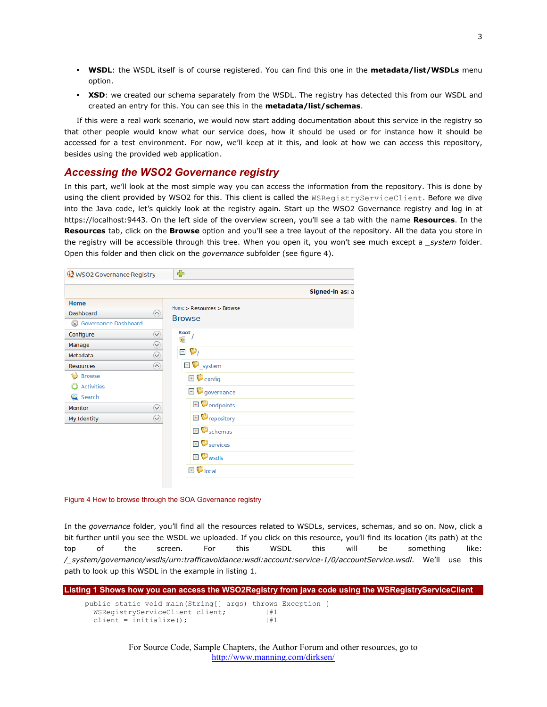- **WSDL**: the WSDL itself is of course registered. You can find this one in the **metadata/list/WSDLs** menu option.
- **XSD**: we created our schema separately from the WSDL. The registry has detected this from our WSDL and created an entry for this. You can see this in the **metadata/list/schemas**.

If this were a real work scenario, we would now start adding documentation about this service in the registry so that other people would know what our service does, how it should be used or for instance how it should be accessed for a test environment. For now, we'll keep at it this, and look at how we can access this repository, besides using the provided web application.

## *Accessing the WSO2 Governance registry*

In this part, we'll look at the most simple way you can access the information from the repository. This is done by using the client provided by WSO2 for this. This client is called the WSRegistryServiceClient. Before we dive into the Java code, let's quickly look at the registry again. Start up the WSO2 Governance registry and log in at https://localhost:9443. On the left side of the overview screen, you'll see a tab with the name **Resources**. In the **Resources** tab, click on the **Browse** option and you'll see a tree layout of the repository. All the data you store in the registry will be accessible through this tree. When you open it, you won't see much except a *\_system* folder. Open this folder and then click on the *governance* subfolder (see figure 4).

|                      |              |      |                                   | Signed-in as: a |
|----------------------|--------------|------|-----------------------------------|-----------------|
| <b>Home</b>          |              |      | Home > Resources > Browse         |                 |
| Dashboard            | $\odot$      |      | <b>Browse</b>                     |                 |
| Governance Dashboard |              |      |                                   |                 |
| Configure            | $\heartsuit$ | Root |                                   |                 |
| Manage               | $\heartsuit$ |      |                                   |                 |
| Metadata             | $\bigcirc$   |      | $\blacksquare$ $\triangleright$   |                 |
| <b>Resources</b>     | $(\wedge)$   |      | $\Box$ system                     |                 |
| <b>Browse</b>        |              |      | $\mathbf{E}$ $\bullet$ config     |                 |
| <b>O</b> Activities  |              |      | $\Box$ governance                 |                 |
| Search               |              |      |                                   |                 |
| <b>Monitor</b>       | $\heartsuit$ |      | <b>E</b> endpoints                |                 |
| My Identity          | $\vee$       |      | <b>E</b> <i>repository</i>        |                 |
|                      |              |      | $\mathbf{E}$ $\mathbf{S}$ schemas |                 |
|                      |              |      | $\mathbf{F}$ services             |                 |
|                      |              |      | $\mathbf{E}$ wsdls                |                 |
|                      |              |      | $\boxplus$ $\blacksquare$ local   |                 |

#### Figure 4 How to browse through the SOA Governance registry

In the *governance* folder, you'll find all the resources related to WSDLs, services, schemas, and so on. Now, click a bit further until you see the WSDL we uploaded. If you click on this resource, you'll find its location (its path) at the top of the screen. For this WSDL this will be something like: */\_system/governance/wsdls/urn:trafficavoidance:wsdl:account:service-1/0/accountService.wsdl*. We'll use this path to look up this WSDL in the example in listing 1.

| Listing 1 Shows how you can access the WSO2Registry from java code using the WSRegistryServiceClient                     |          |  |
|--------------------------------------------------------------------------------------------------------------------------|----------|--|
| public static void main (String [] args) throws Exception {<br>WSRegistryServiceClient client;<br>client = initialize(); | #1<br>#1 |  |

For Source Code, Sample Chapters, the Author Forum and other resources, go to <http://www.manning.com/dirksen/>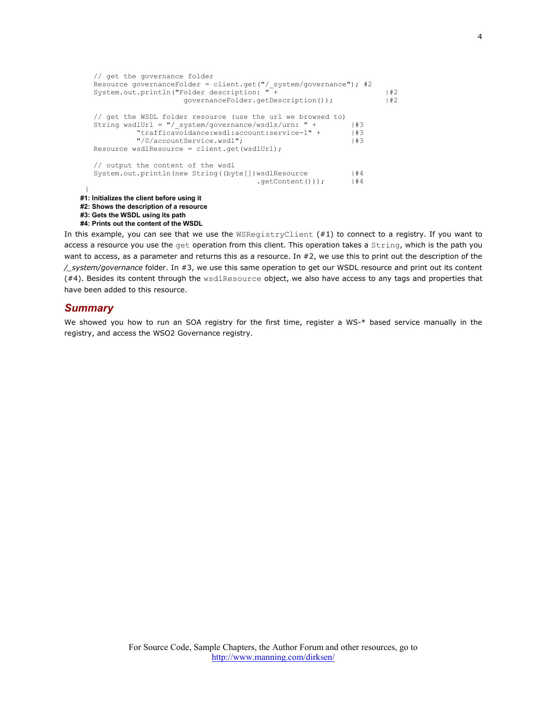```
 // get the governance folder
Resource governanceFolder = client.get("/ system/governance"); #2
 System.out.println("Folder description: " + |#2
                          governanceFolder.getDescription()); |#2
    // get the WSDL folder resource (use the url we browsed to)
   String wsdlUrl = "/ system/governance/wsdls/urn: " + |#3
              "trafficavoidance:wsdl:account:service-1" + |#3<br>"/0/accountService.wsdl"; |#3
              "/0/accountService.wsdl";
    Resource wsdlResource = client.get(wsdlUrl);
    // output the content of the wsdl
   System.out.println(new String((byte[])wsdlResource |#4<br>|#4 .getContent()));
                                           .getContent());
  }
#1: Initializes the client before using it
#2: Shows the description of a resource
#3: Gets the WSDL using its path
#4: Prints out the content of the WSDL
```
In this example, you can see that we use the WSRegistryClient (#1) to connect to a registry. If you want to access a resource you use the get operation from this client. This operation takes a String, which is the path you want to access, as a parameter and returns this as a resource. In #2, we use this to print out the description of the */\_system/governance* folder. In #3, we use this same operation to get our WSDL resource and print out its content (#4). Besides its content through the wsdlResource object, we also have access to any tags and properties that have been added to this resource.

#### *Summary*

We showed you how to run an SOA registry for the first time, register a WS-\* based service manually in the registry, and access the WSO2 Governance registry.